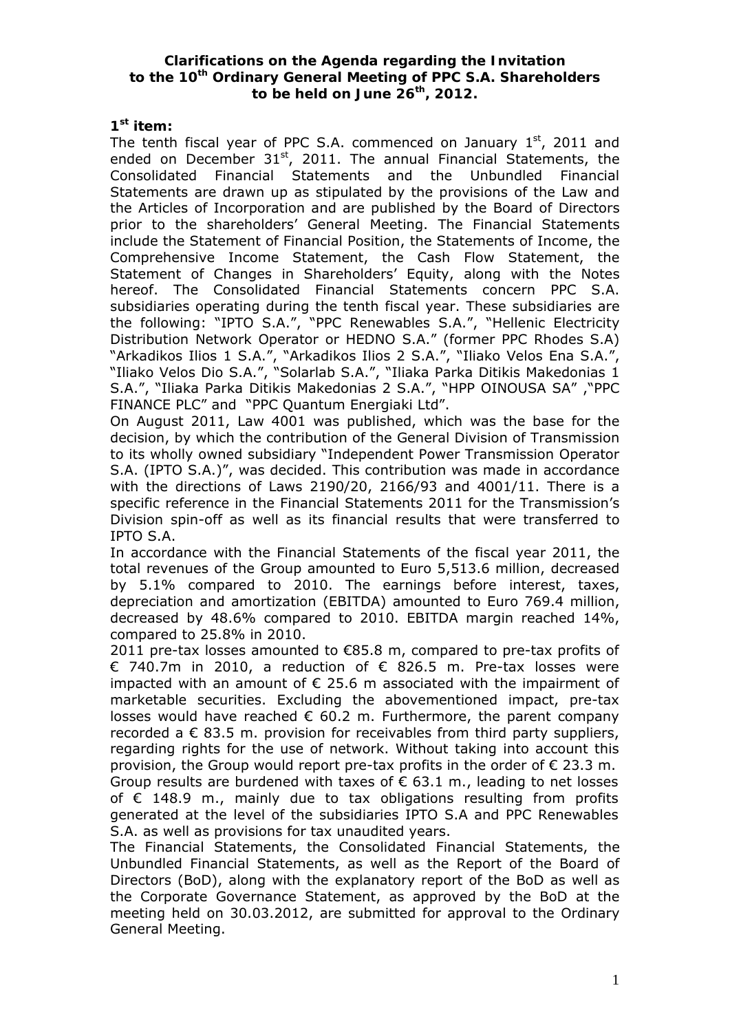### **Clarifications on the Agenda regarding the Invitation to the 10th Ordinary General Meeting of PPC S.A. Shareholders to be held on June 26th, 2012.**

## **1st item:**

The tenth fiscal year of PPC S.A. commenced on January  $1<sup>st</sup>$ , 2011 and ended on December 31<sup>st</sup>, 2011. The annual Financial Statements, the Consolidated Financial Statements and the Unbundled Financial Statements are drawn up as stipulated by the provisions of the Law and the Articles of Incorporation and are published by the Board of Directors prior to the shareholders' General Meeting. The Financial Statements include the Statement of Financial Position, the Statements of Income, the Comprehensive Income Statement, the Cash Flow Statement, the Statement of Changes in Shareholders' Equity, along with the Notes hereof. The Consolidated Financial Statements concern PPC S.A. subsidiaries operating during the tenth fiscal year. These subsidiaries are the following: "IPTO S.A.", "PPC Renewables S.A.", "Hellenic Electricity Distribution Network Operator or HEDNO S.A." (former PPC Rhodes S.A) "Arkadikos Ilios 1 S.A.", "Arkadikos Ilios 2 S.A.", "Iliako Velos Ena S.A.", "Iliako Velos Dio S.A.", "Solarlab S.A.", "Iliaka Parka Ditikis Makedonias 1 S.A.", "Iliaka Parka Ditikis Makedonias 2 S.A.", "HPP OINOUSA SA" ,"PPC FINANCE PLC" and "PPC Quantum Energiaki Ltd".

On August 2011, Law 4001 was published, which was the base for the decision, by which the contribution of the General Division of Transmission to its wholly owned subsidiary "Independent Power Transmission Operator S.A. (IPTO S.A.)", was decided. This contribution was made in accordance with the directions of Laws 2190/20, 2166/93 and 4001/11. There is a specific reference in the Financial Statements 2011 for the Transmission's Division spin-off as well as its financial results that were transferred to IPTO S.A.

In accordance with the Financial Statements of the fiscal year 2011, the total revenues of the Group amounted to Euro 5,513.6 million, decreased by 5.1% compared to 2010. The earnings before interest, taxes, depreciation and amortization (EBITDA) amounted to Euro 769.4 million, decreased by 48.6% compared to 2010. ΕΒΙΤDΑ margin reached 14%, compared to 25.8% in 2010.

2011 pre-tax losses amounted to  $\epsilon$ 85.8 m, compared to pre-tax profits of € 740.7m in 2010, a reduction of € 826.5 m. Pre-tax losses were impacted with an amount of  $\epsilon$  25.6 m associated with the impairment of marketable securities. Excluding the abovementioned impact, pre-tax losses would have reached  $\epsilon$  60.2 m. Furthermore, the parent company recorded a  $\epsilon$  83.5 m, provision for receivables from third party suppliers, regarding rights for the use of network. Without taking into account this provision, the Group would report pre-tax profits in the order of  $\epsilon$  23.3 m. Group results are burdened with taxes of  $\epsilon$  63.1 m., leading to net losses of € 148.9 m., mainly due to tax obligations resulting from profits generated at the level of the subsidiaries IPTO S.A and PPC Renewables S.A. as well as provisions for tax unaudited years.

The Financial Statements, the Consolidated Financial Statements, the Unbundled Financial Statements, as well as the Report of the Board of Directors (BoD), along with the explanatory report of the BoD as well as the Corporate Governance Statement, as approved by the BoD at the meeting held on 30.03.2012, are submitted for approval to the Ordinary General Meeting.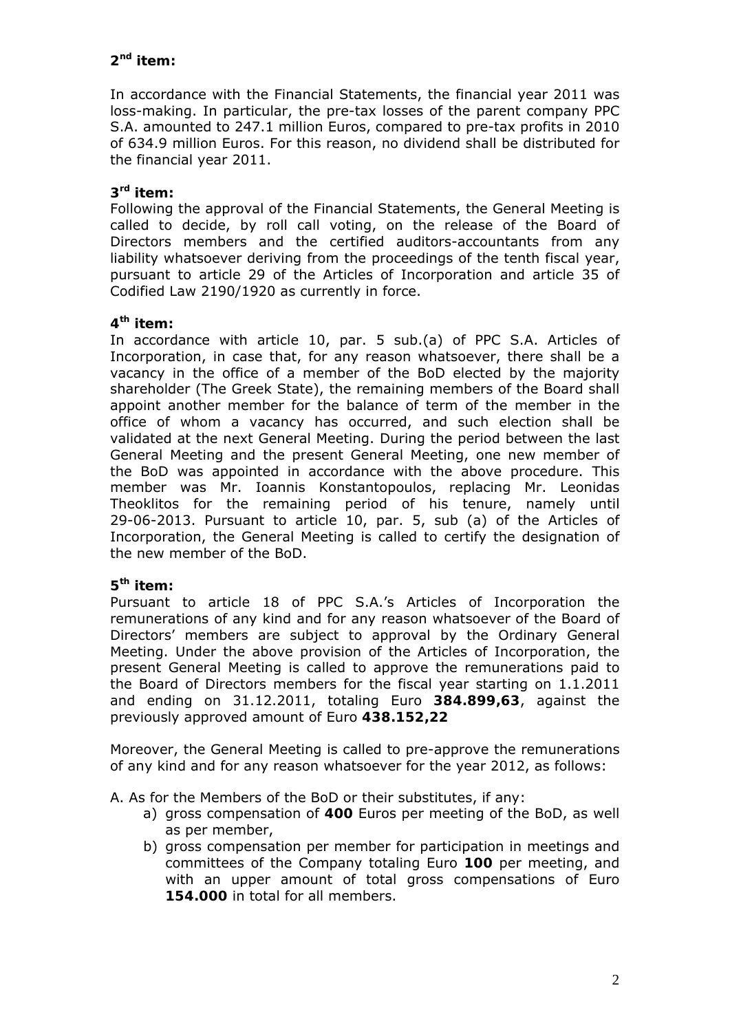# **2nd item:**

In accordance with the Financial Statements, the financial year 2011 was loss-making. In particular, the pre-tax losses of the parent company PPC S.A. amounted to 247.1 million Euros, compared to pre-tax profits in 2010 of 634.9 million Euros. For this reason, no dividend shall be distributed for the financial year 2011.

## **3rd item:**

Following the approval of the Financial Statements, the General Meeting is called to decide, by roll call voting, on the release of the Board of Directors members and the certified auditors-accountants from any liability whatsoever deriving from the proceedings of the tenth fiscal year, pursuant to article 29 of the Articles of Incorporation and article 35 of Codified Law 2190/1920 as currently in force.

# **4th item:**

In accordance with article 10, par. 5 sub.(a) of PPC S.A. Articles of Incorporation, in case that, for any reason whatsoever, there shall be a vacancy in the office of a member of the BoD elected by the majority shareholder (The Greek State), the remaining members of the Board shall appoint another member for the balance of term of the member in the office of whom a vacancy has occurred, and such election shall be validated at the next General Meeting. During the period between the last General Meeting and the present General Meeting, one new member of the BoD was appointed in accordance with the above procedure. This member was Mr. Ioannis Konstantopoulos, replacing Mr. Leonidas Theoklitos for the remaining period of his tenure, namely until 29-06-2013. Pursuant to article 10, par. 5, sub (a) of the Articles of Incorporation, the General Meeting is called to certify the designation of the new member of the BoD.

## **5th item:**

Pursuant to article 18 of PPC S.A.'s Articles of Incorporation the remunerations of any kind and for any reason whatsoever of the Board of Directors' members are subject to approval by the Ordinary General Meeting. Under the above provision of the Articles of Incorporation, the present General Meeting is called to approve the remunerations paid to the Board of Directors members for the fiscal year starting on 1.1.2011 and ending on 31.12.2011, totaling Euro **384.899,63**, against the previously approved amount of Euro **438.152,22** 

Moreover, the General Meeting is called to pre-approve the remunerations of any kind and for any reason whatsoever for the year 2012, as follows:

A. As for the Members of the BoD or their substitutes, if any:

- a) gross compensation of **400** Euros per meeting of the BoD, as well as per member,
- b) gross compensation per member for participation in meetings and committees of the Company totaling Euro **100** per meeting, and with an upper amount of total gross compensations of Euro **154.000** in total for all members.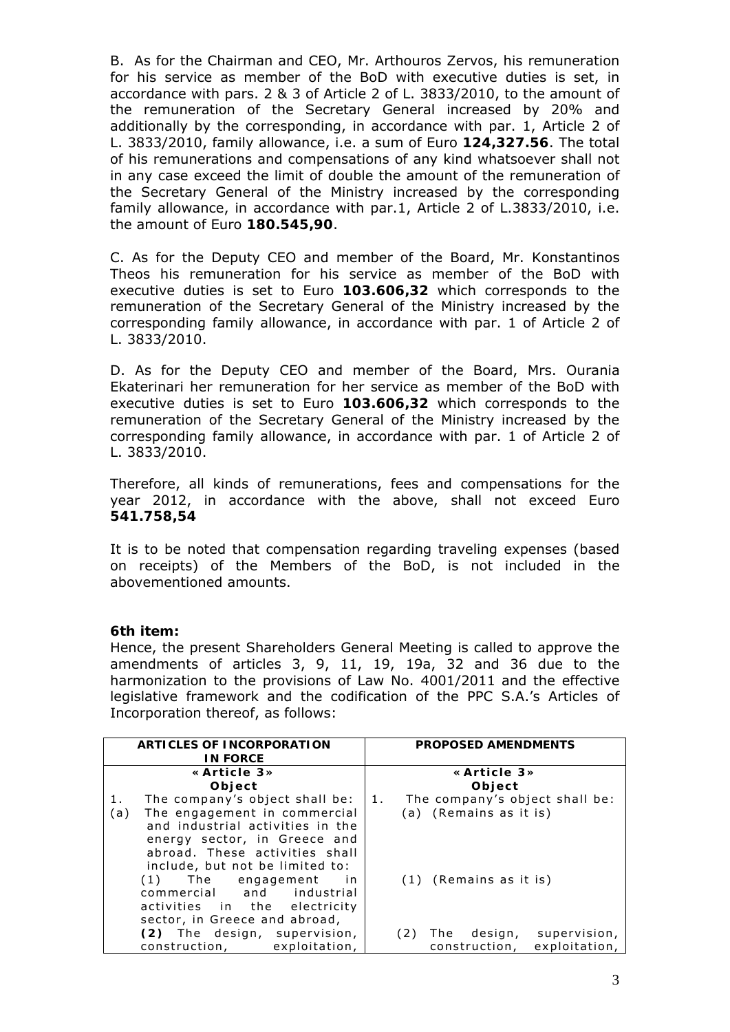B. As for the Chairman and CEO, Mr. Arthouros Zervos, his remuneration for his service as member of the BoD with executive duties is set, in accordance with pars. 2 & 3 of Article 2 of L. 3833/2010, to the amount of the remuneration of the Secretary General increased by 20% and additionally by the corresponding, in accordance with par. 1, Article 2 of L. 3833/2010, family allowance, i.e. a sum of Euro **124,327.56**. The total of his remunerations and compensations of any kind whatsoever shall not in any case exceed the limit of double the amount of the remuneration of the Secretary General of the Ministry increased by the corresponding family allowance, in accordance with par.1, Article 2 of L.3833/2010, i.e. the amount of Euro **180.545,90**.

C. As for the Deputy CEO and member of the Board, Mr. Konstantinos Theos his remuneration for his service as member of the BoD with executive duties is set to Euro **103.606,32** which corresponds to the remuneration of the Secretary General of the Ministry increased by the corresponding family allowance, in accordance with par. 1 of Article 2 of L. 3833/2010.

D. As for the Deputy CEO and member of the Board, Mrs. Ourania Εkaterinari her remuneration for her service as member of the BoD with executive duties is set to Euro **103.606,32** which corresponds to the remuneration of the Secretary General of the Ministry increased by the corresponding family allowance, in accordance with par. 1 of Article 2 of L. 3833/2010.

Therefore, all kinds of remunerations, fees and compensations for the year 2012, in accordance with the above, shall not exceed Euro **541.758,54**

It is to be noted that compensation regarding traveling expenses (based on receipts) of the Members of the BoD, is not included in the abovementioned amounts.

### **6th item:**

Hence, the present Shareholders General Meeting is called to approve the amendments of articles 3, 9, 11, 19, 19a, 32 and 36 due to the harmonization to the provisions of Law No. 4001/2011 and the effective legislative framework and the codification of the PPC S.A.'s Articles of Incorporation thereof, as follows:

| ARTICLES OF INCORPORATION            | <b>PROPOSED AMENDMENTS</b>        |
|--------------------------------------|-----------------------------------|
| <b>IN FORCE</b>                      |                                   |
| «Article $3\%$                       | «Article $3\%$                    |
| Object                               | Object                            |
| The company's object shall be:<br>1. | 1. The company's object shall be: |
| The engagement in commercial<br>(a)  | (a) (Remains as it is)            |
| and industrial activities in the     |                                   |
| energy sector, in Greece and         |                                   |
| abroad. These activities shall       |                                   |
| include, but not be limited to:      |                                   |
| (1) The engagement in                | (1) (Remains as it is)            |
| commercial and industrial            |                                   |
| activities in the electricity        |                                   |
| sector, in Greece and abroad,        |                                   |
| (2) The design, supervision,         | (2) The design,<br>supervision,   |
| construction, exploitation,          | exploitation,<br>construction,    |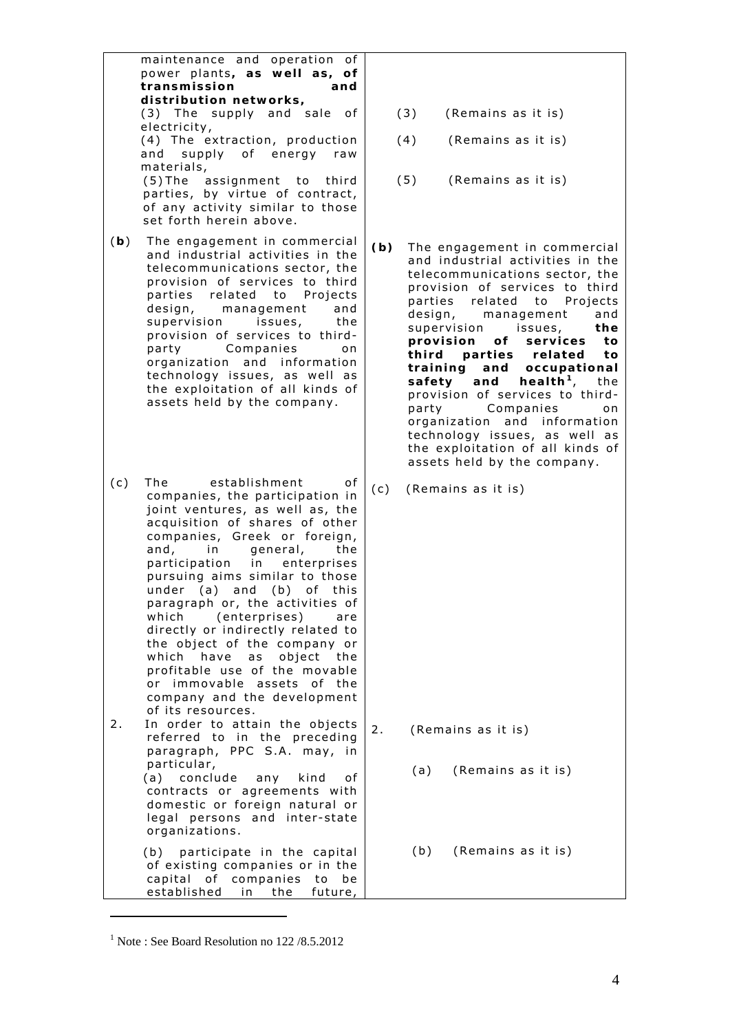maintenance and operation of power plants**, as well as, of transmission and distribution networks,**  (3) The supply and sale of electricity, (4) The extraction, production and supply of energy raw materials, (5) The assignment to third parties, by virtue of contract, of any activity similar to those set forth herein above. (**b**) The engagement in commercial and industrial activities in the telecommunications sector, the provision of services to third parties related to Projects design, management and supervision issues, the provision of services to thirdparty Companies on organization and information technology issues, as well as the exploitation of all kinds of assets held by the company. (c) The establishment of companies, the participation in joint ventures, as well as, the acquisition of shares of other companies, Greek or foreign, and, in general, the participation in enterprises pursuing aims similar to those under (a) and (b) of this paragraph or, the activities of which (enterprises) are directly or indirectly related to the object of the company or which have as object the profitable use of the movable or immovable assets of the company and the development of its resources. 2. In order to attain the objects referred to in the preceding paragraph, PPC S.A. may, in particular, (a) conclude any kind of contracts or agreements with domestic or foreign natural or legal persons and inter-state organizations. (b) participate in the capital of existing companies or in the capital of companies to be established in the future, (3) (Remains as it is) (4) (Remains as it is) (5) (Remains as it is) **(b)** The engagement in commercial and industrial activities in the telecommunications sector, the provision of services to third parties related to Projects design, management and supervision issues, **the provision of services to third parties related to training and occupational**  safety and health<sup>[1](#page-3-0)</sup>, the provision of services to thirdparty Companies on organization and information technology issues, as well as the exploitation of all kinds of assets held by the company. (c) (Remains as it is) 2. (Remains as it is) (a) (Remains as it is) (b) (Remains as it is)

 $\overline{a}$ 

<span id="page-3-0"></span><sup>1</sup> Note : See Board Resolution no 122 /8.5.2012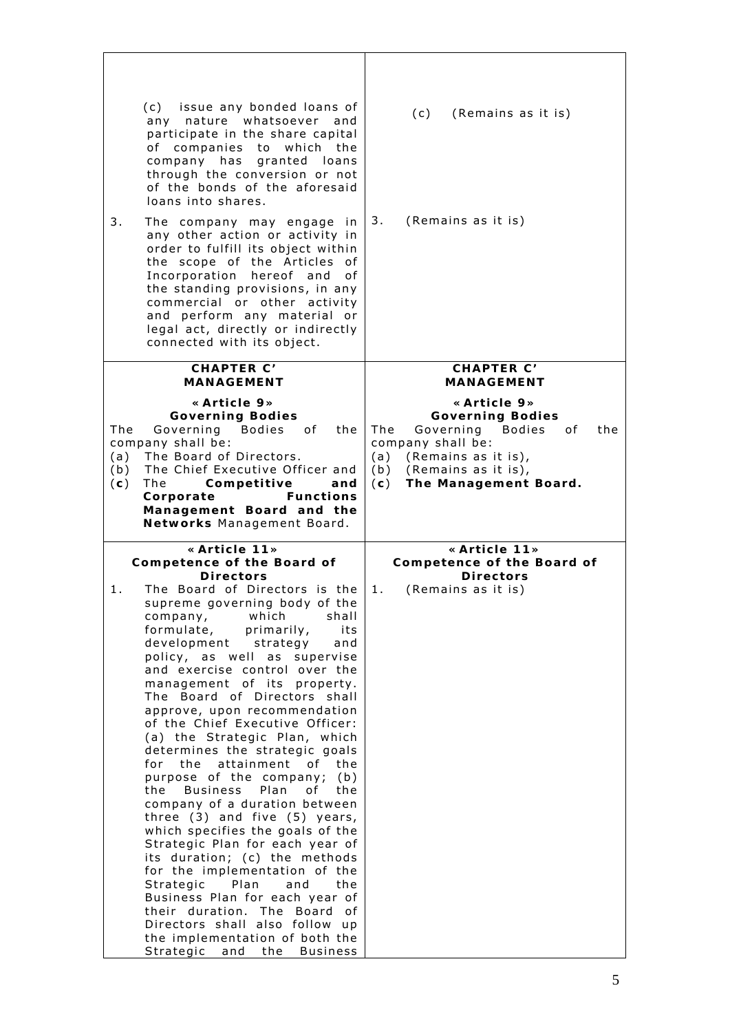| 3.                       | (c) issue any bonded loans of<br>any nature whatsoever and<br>participate in the share capital<br>of companies to which the<br>company has<br>granted loans<br>through the conversion or not<br>of the bonds of the aforesaid<br>loans into shares.<br>The company may engage in<br>any other action or activity in<br>order to fulfill its object within<br>the scope of the Articles of<br>Incorporation hereof and<br>0f<br>the standing provisions, in any<br>commercial or other activity<br>and perform any material or<br>legal act, directly or indirectly<br>connected with its object.                                                                                                                                                                                                                                                                                                                                                                                              | (c)<br>(Remains as it is)<br>3.<br>(Remains as it is)                                                                                                                                              |
|--------------------------|-----------------------------------------------------------------------------------------------------------------------------------------------------------------------------------------------------------------------------------------------------------------------------------------------------------------------------------------------------------------------------------------------------------------------------------------------------------------------------------------------------------------------------------------------------------------------------------------------------------------------------------------------------------------------------------------------------------------------------------------------------------------------------------------------------------------------------------------------------------------------------------------------------------------------------------------------------------------------------------------------|----------------------------------------------------------------------------------------------------------------------------------------------------------------------------------------------------|
|                          | <b>CHAPTER C'</b><br><b>MANAGEMENT</b>                                                                                                                                                                                                                                                                                                                                                                                                                                                                                                                                                                                                                                                                                                                                                                                                                                                                                                                                                        | CHAPTER C'<br><b>MANAGEMENT</b>                                                                                                                                                                    |
| The<br>(a)<br>(b)<br>(c) | «Article 9»<br><b>Governing Bodies</b><br>Bodies of the<br>Governing<br>company shall be:<br>The Board of Directors.<br>The Chief Executive Officer and<br>The<br>Competitive<br>and<br>Corporate<br><b>Functions</b><br>Management Board and the<br>Networks Management Board.                                                                                                                                                                                                                                                                                                                                                                                                                                                                                                                                                                                                                                                                                                               | «Article $9$ »<br><b>Governing Bodies</b><br>Governing<br>Bodies<br>The<br>0f<br>the<br>company shall be:<br>(a) (Remains as it is),<br>(b)<br>(Remains as it is),<br>The Management Board.<br>(c) |
|                          | «Article 11»<br>Competence of the Board of                                                                                                                                                                                                                                                                                                                                                                                                                                                                                                                                                                                                                                                                                                                                                                                                                                                                                                                                                    | «Article 11»<br>Competence of the Board of                                                                                                                                                         |
| 1.                       | <b>Directors</b><br>The Board of Directors is the<br>supreme governing body of the<br>which<br>shall<br>company,<br>formulate,<br>primarily,<br>its<br>development strategy<br>and<br>policy, as well as<br>supervise<br>and exercise control over the<br>management of its<br>property.<br>The Board of Directors shall<br>approve, upon recommendation<br>of the Chief Executive Officer:<br>(a) the Strategic Plan, which<br>determines the strategic goals<br>the attainment of the<br>for<br>purpose of the company; (b)<br>Business Plan<br>the<br>of _<br>the<br>company of a duration between<br>three $(3)$ and five $(5)$ years,<br>which specifies the goals of the<br>Strategic Plan for each year of<br>its duration; (c) the methods<br>for the implementation of the<br>Strategic<br>Plan<br>and<br>the<br>Business Plan for each year of<br>their duration. The Board<br>0f<br>Directors shall also follow up<br>the implementation of both the<br>Strategic and the Business | <b>Directors</b><br>(Remains as it is)<br>1.                                                                                                                                                       |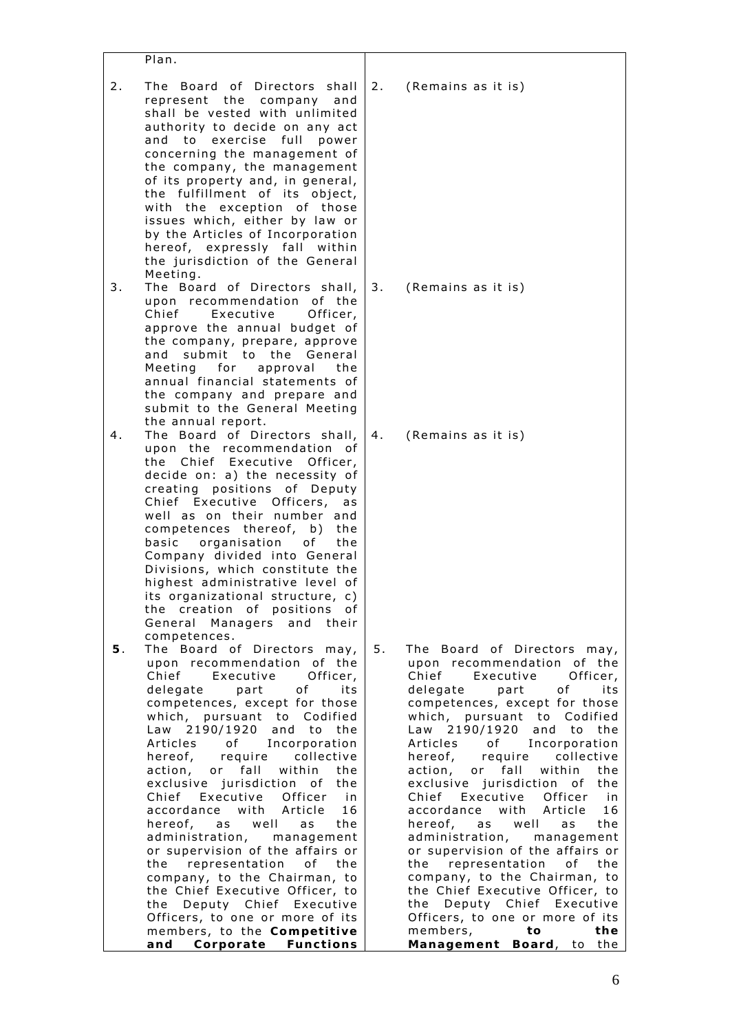|    | Plan.                                                                                                                                                                                                                                                                                                                                                                                                                                                                                                                                                                                                                                                                                                                                             |    |                                                                                                                                                                                                                                                                                                                                                                                                                                                                                                                                                                                                                                                                                                                                              |
|----|---------------------------------------------------------------------------------------------------------------------------------------------------------------------------------------------------------------------------------------------------------------------------------------------------------------------------------------------------------------------------------------------------------------------------------------------------------------------------------------------------------------------------------------------------------------------------------------------------------------------------------------------------------------------------------------------------------------------------------------------------|----|----------------------------------------------------------------------------------------------------------------------------------------------------------------------------------------------------------------------------------------------------------------------------------------------------------------------------------------------------------------------------------------------------------------------------------------------------------------------------------------------------------------------------------------------------------------------------------------------------------------------------------------------------------------------------------------------------------------------------------------------|
| 2. | The Board of Directors shall<br>represent the company and<br>shall be vested with unlimited<br>authority to decide on any act<br>to exercise full<br>power<br>and<br>concerning the management of<br>the company, the management<br>of its property and, in general,<br>the fulfillment of its object,<br>with the exception of those<br>issues which, either by law or<br>by the Articles of Incorporation<br>hereof, expressly fall within<br>the jurisdiction of the General<br>Meeting.                                                                                                                                                                                                                                                       | 2. | (Remains as it is)                                                                                                                                                                                                                                                                                                                                                                                                                                                                                                                                                                                                                                                                                                                           |
| 3. | The Board of Directors shall,<br>upon recommendation of the<br>Chief<br>Executive<br>Officer,<br>approve the annual budget of<br>the company, prepare, approve<br>submit to the General<br>and<br>Meeting for approval<br>the<br>annual financial statements of<br>the company and prepare and<br>submit to the General Meeting<br>the annual report.                                                                                                                                                                                                                                                                                                                                                                                             | 3. | (Remains as it is)                                                                                                                                                                                                                                                                                                                                                                                                                                                                                                                                                                                                                                                                                                                           |
| 4. | The Board of Directors shall,<br>upon the recommendation of<br>the Chief Executive Officer,<br>decide on: a) the necessity of<br>creating positions of Deputy<br>Chief Executive Officers,<br>as<br>well as on their number and<br>competences thereof, b)<br>the<br>basic organisation<br>of<br>the<br>Company divided into General<br>Divisions, which constitute the<br>highest administrative level of<br>its organizational structure, c)<br>the creation of positions of<br>General Managers and their<br>competences.                                                                                                                                                                                                                      | 4. | (Remains as it is)                                                                                                                                                                                                                                                                                                                                                                                                                                                                                                                                                                                                                                                                                                                           |
| 5. | The Board of Directors may,<br>upon recommendation of the<br>Chief Executive<br>Officer,<br>of<br>delegate part<br>its<br>competences, except for those<br>which, pursuant to Codified<br>Law 2190/1920 and to the<br>Articles of Incorporation<br>hereof, require collective<br>action, or fall<br>within the<br>exclusive jurisdiction of the<br>Chief Executive Officer<br>in in<br>accordance with Article<br>16<br>hereof, as well<br>as<br>the<br>administration, management<br>or supervision of the affairs or<br>the representation of the<br>company, to the Chairman, to<br>the Chief Executive Officer, to<br>the Deputy Chief Executive<br>Officers, to one or more of its<br>members, to the Competitive<br>and Corporate Functions | 5. | The Board of Directors may,<br>upon recommendation of the<br>Chief Executive<br>Officer,<br>of<br>delegate<br>part<br>its<br>competences, except for those<br>which, pursuant to Codified<br>Law 2190/1920<br>and to the<br>Articles of Incorporation<br>hereof, require collective<br>within the<br>action, or fall<br>exclusive jurisdiction of the<br>Chief Executive Officer in<br>with Article<br>16<br>accordance<br>hereof, as well<br>the<br>as<br>administration, management<br>or supervision of the affairs or<br>the representation of the<br>company, to the Chairman, to<br>the Chief Executive Officer, to<br>the Deputy Chief Executive<br>Officers, to one or more of its<br>members, to<br>the<br>Management Board, to the |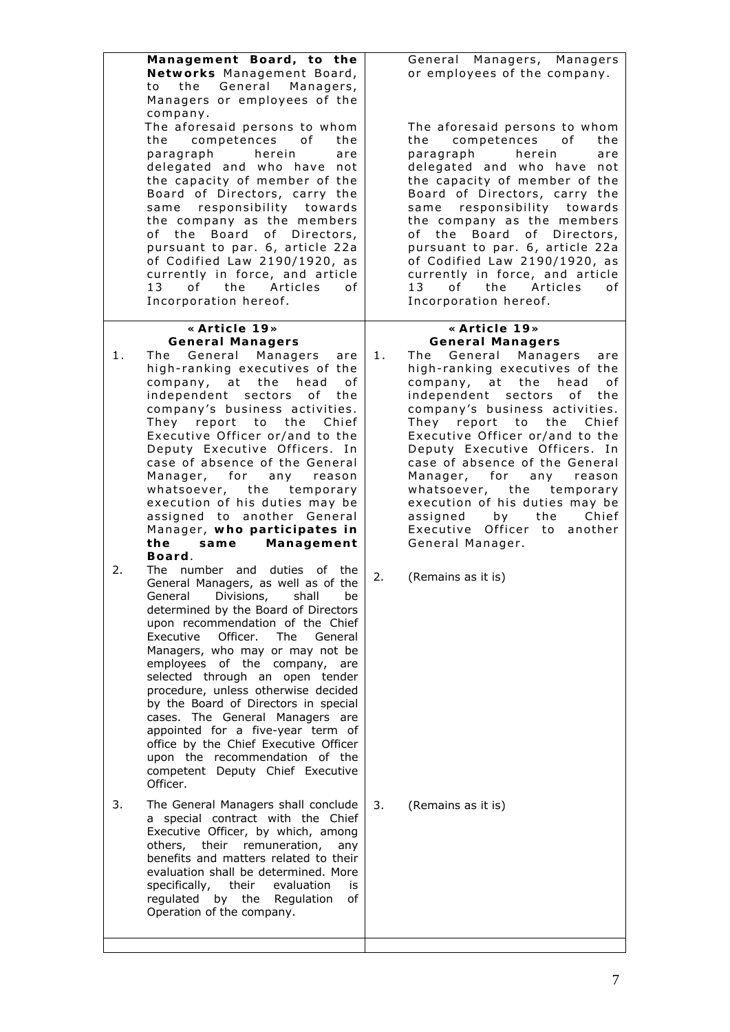**Management Board, to the Networks** Management Board, to the General Managers, Managers or employees of the company. The aforesaid persons to whom the competences of the paragraph herein are delegated and who have not the capacity of member of the Board of Directors, carry the same responsibility towards the company as the members of the Board of Directors, pursuant to par. 6, article 22a of Codified Law 2190/1920, as currently in force, and article 13 of the Articles of Incorporation hereof.

#### **«Article 19» General Managers**

- 1. The General Managers are high-ranking executives of the company, at the head of independent sectors of the company's business activities. They report to the Chief Executive Officer or/and to the Deputy Executive Officers. In case of absence of the General Manager, for any reason whatsoever, the temporary execution of his duties may be assigned to another General Manager, **who participates in the same Management Board**.
- 2. The number and duties of the General Managers, as well as of the General Divisions, shall be determined by the Board of Directors upon recommendation of the Chief Executive Officer. The General Managers, who may or may not be employees of the company, are selected through an open tender procedure, unless otherwise decided by the Board of Directors in special cases. The General Managers are appointed for a five-year term of office by the Chief Executive Officer upon the recommendation of the competent Deputy Chief Executive Officer.

3. The General Managers shall conclude a special contract with the Chief Executive Officer, by which, among others, their remuneration, any benefits and matters related to their evaluation shall be determined. More specifically, their evaluation is regulated by the Regulation of Operation of the company.

General Managers, Managers or employees of the company.

The aforesaid persons to whom the competences of the paragraph herein are delegated and who have not the capacity of member of the Board of Directors, carry the same responsibility towards the company as the members of the Board of Directors, pursuant to par. 6, article 22a of Codified Law 2190/1920, as currently in force, and article 13 of the Articles of Incorporation hereof.

#### **«Article 19» General Managers**

- 1. The General Managers are high-ranking executives of the company, at the head of independent sectors of the company's business activities. They report to the Chief Executive Officer or/and to the Deputy Executive Officers. In case of absence of the General Manager, for any reason whatsoever, the temporary execution of his duties may be assigned by the Chief Executive Officer to another General Manager.
- 2. (Remains as it is)

3. (Remains as it is)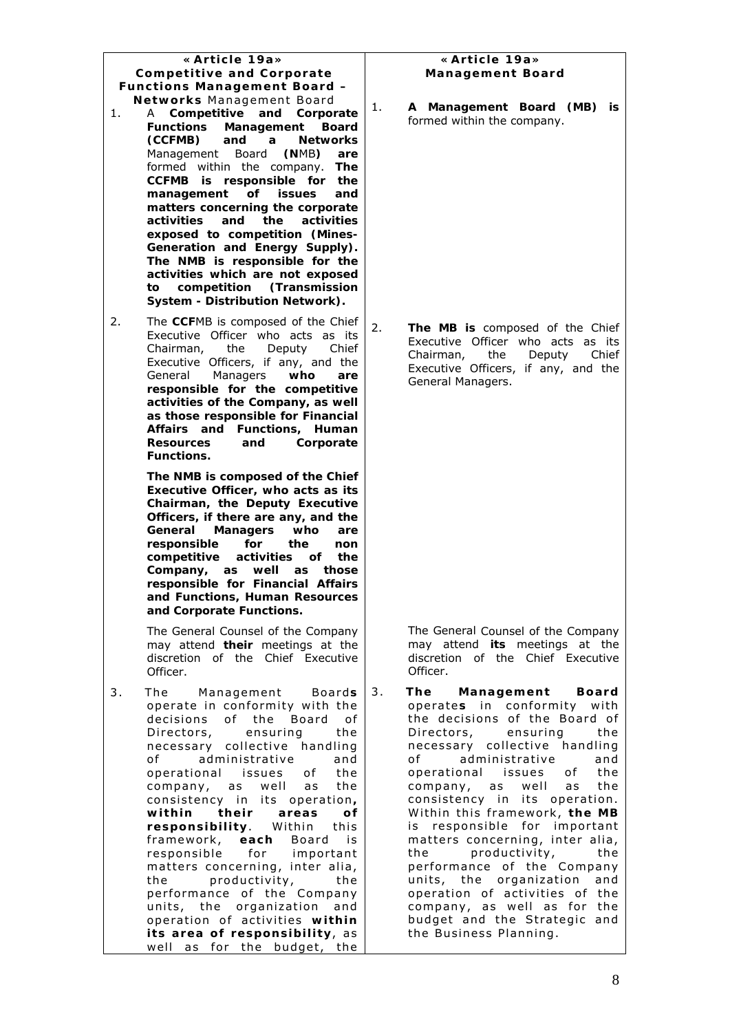#### **«Article 19a» Competitive and Corporate Functions Management Board – Networks** Management Board

- 1. A **Competitive and Corporate Functions Management Board (CCFMB) and a Networks** Management Board **(N**MB**) are**  formed within the company. **The CCFMB is responsible for the management of issues and matters concerning the corporate activities and the activities exposed to competition (Mines-Generation and Energy Supply). The NMB is responsible for the activities which are not exposed to competition (Transmission System - Distribution Network).**
- 2. The **CCF**MB is composed of the Chief Executive Officer who acts as its Chairman, the Deputy Chief Executive Officers, if any, and the General Managers **who are responsible for the competitive activities of the Company, as well as those responsible for Financial Affairs and Functions, Human Resources and Corporate Functions.**

**The NMB is composed of the Chief Executive Officer, who acts as its Chairman, the Deputy Executive Officers, if there are any, and the General Managers who are responsible for the non competitive activities of the Company, as well as those responsible for Financial Affairs and Functions, Human Resources and Corporate Functions.** 

The General Counsel of the Company may attend **their** meetings at the discretion of the Chief Executive Officer.

3. The Management Boards operate in conformity with the decisions of the Board of Directors, ensuring the necessary collective handling of administrative and operational issues of the company, as well as the consistency in its operation**, within their areas of responsibility**. Within this framework, **each** Board is responsible for important matters concerning, inter alia, the productivity, the performance of the Company units, the organization and operation of activities **within its area of responsibility**, as well as for the budget, the

#### **«Article 19a» Management Board**

1. **A Management Board (MB) is** formed within the company.

2. **The MB is** composed of the Chief Executive Officer who acts as its Chairman, the Deputy Chief Executive Officers, if any, and the General Managers.

> The General Counsel of the Company may attend **its** meetings at the discretion of the Chief Executive Officer.

3. **The Management Board** operate**s** in conformity with the decisions of the Board of Directors, ensuring the necessary collective handling of administrative and operational issues of the company, as well as the consistency in its operation. Within this framework, **the MB** is responsible for important matters concerning, inter alia, the productivity, the performance of the Company units, the organization and operation of activities of the company, as well as for the budget and the Strategic and the Business Planning.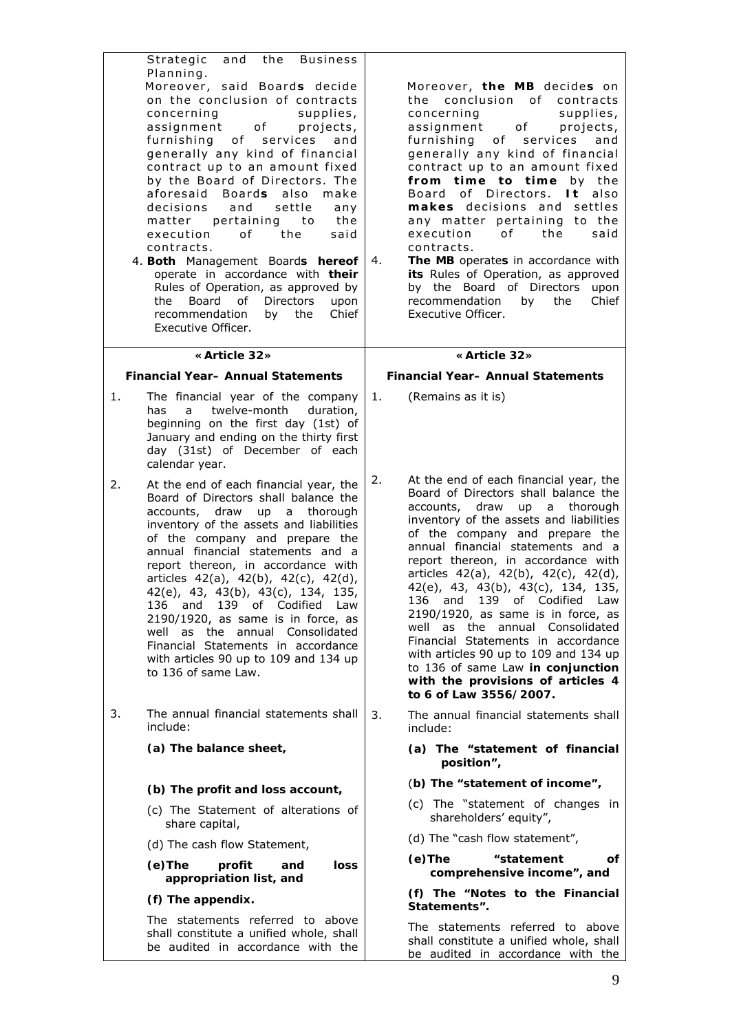| Strategic and the Business<br>Planning.<br>Moreover, said Boards decide<br>on the conclusion of contracts<br>concerning<br>assignment of projects,<br>furnishing of services<br>generally any kind of financial<br>contract up to an amount fixed<br>by the Board of Directors. The<br>aforesaid Boards<br>also<br>decisions and<br>settle<br>matter pertaining to<br>of the<br>execution<br>contracts.<br>4. Both Management Boards hereof<br>operate in accordance with their<br>Rules of Operation, as approved by<br>Board of<br>Directors<br>the<br>recommendation<br>the<br>by<br>Executive Officer. | supplies,<br>and<br>make<br>any<br>the<br>said<br>4.<br>upon<br>Chief | Moreover, the MB decides on<br>the conclusion of contracts<br>concerning<br>supplies,<br>assignment of projects,<br>furnishing of services<br>and<br>generally any kind of financial<br>contract up to an amount fixed<br>from time to time by the<br>Board of Directors. It also<br>makes decisions and settles<br>any matter pertaining to the<br>execution<br>of the<br>said<br>contracts.<br>The MB operates in accordance with<br>its Rules of Operation, as approved<br>by the Board of Directors upon<br>recommendation<br>by the<br>Chief<br>Executive Officer.                                                                                        |
|------------------------------------------------------------------------------------------------------------------------------------------------------------------------------------------------------------------------------------------------------------------------------------------------------------------------------------------------------------------------------------------------------------------------------------------------------------------------------------------------------------------------------------------------------------------------------------------------------------|-----------------------------------------------------------------------|----------------------------------------------------------------------------------------------------------------------------------------------------------------------------------------------------------------------------------------------------------------------------------------------------------------------------------------------------------------------------------------------------------------------------------------------------------------------------------------------------------------------------------------------------------------------------------------------------------------------------------------------------------------|
| «Article 32»                                                                                                                                                                                                                                                                                                                                                                                                                                                                                                                                                                                               |                                                                       | «Article 32»                                                                                                                                                                                                                                                                                                                                                                                                                                                                                                                                                                                                                                                   |
| <b>Financial Year-Annual Statements</b>                                                                                                                                                                                                                                                                                                                                                                                                                                                                                                                                                                    |                                                                       | Financial Year- Annual Statements                                                                                                                                                                                                                                                                                                                                                                                                                                                                                                                                                                                                                              |
| The financial year of the company<br>1.<br>a.<br>twelve-month<br>has<br>beginning on the first day (1st) of<br>January and ending on the thirty first<br>day (31st) of December of each<br>calendar year.                                                                                                                                                                                                                                                                                                                                                                                                  | duration,                                                             | 1.<br>(Remains as it is)                                                                                                                                                                                                                                                                                                                                                                                                                                                                                                                                                                                                                                       |
| At the end of each financial year, the<br>2.<br>Board of Directors shall balance the<br>accounts, draw<br>up a thorough<br>inventory of the assets and liabilities<br>of the company and prepare the<br>annual financial statements and a<br>report thereon, in accordance with<br>articles 42(a), 42(b), 42(c), 42(d),<br>42(e), 43, 43(b), 43(c), 134, 135,<br>136 and 139 of Codified Law<br>$2190/1920$ , as same is in force, as<br>well as the annual Consolidated<br>Financial Statements in accordance<br>with articles 90 up to 109 and 134 up<br>to 136 of same Law.                             | 2.                                                                    | At the end of each financial year, the<br>Board of Directors shall balance the<br>accounts, draw<br>up a thorough<br>inventory of the assets and liabilities<br>of the company and prepare the<br>annual financial statements and a<br>report thereon, in accordance with<br>articles 42(a), 42(b), 42(c), 42(d),<br>42(e), 43, 43(b), 43(c), 134, 135,<br>136<br>and 139<br>of<br>Codified Law<br>$2190/1920$ , as same is in force, as<br>well as the annual Consolidated<br>Financial Statements in accordance<br>with articles 90 up to 109 and 134 up<br>to 136 of same Law in conjunction<br>with the provisions of articles 4<br>to 6 of Law 3556/2007. |
| The annual financial statements shall<br>3.<br>include:                                                                                                                                                                                                                                                                                                                                                                                                                                                                                                                                                    | 3.                                                                    | The annual financial statements shall<br>include:                                                                                                                                                                                                                                                                                                                                                                                                                                                                                                                                                                                                              |
| (a) The balance sheet,                                                                                                                                                                                                                                                                                                                                                                                                                                                                                                                                                                                     |                                                                       | (a) The "statement of financial<br>position",                                                                                                                                                                                                                                                                                                                                                                                                                                                                                                                                                                                                                  |
| (b) The profit and loss account,                                                                                                                                                                                                                                                                                                                                                                                                                                                                                                                                                                           |                                                                       | (b) The "statement of income",                                                                                                                                                                                                                                                                                                                                                                                                                                                                                                                                                                                                                                 |
| (c) The Statement of alterations of<br>share capital,                                                                                                                                                                                                                                                                                                                                                                                                                                                                                                                                                      |                                                                       | (c) The "statement of changes in<br>shareholders' equity",                                                                                                                                                                                                                                                                                                                                                                                                                                                                                                                                                                                                     |
| (d) The cash flow Statement,                                                                                                                                                                                                                                                                                                                                                                                                                                                                                                                                                                               |                                                                       | (d) The "cash flow statement",                                                                                                                                                                                                                                                                                                                                                                                                                                                                                                                                                                                                                                 |
| $(e)$ The<br>profit<br>and<br>appropriation list, and                                                                                                                                                                                                                                                                                                                                                                                                                                                                                                                                                      | loss                                                                  | "statement<br>$(e)$ The<br>of<br>comprehensive income", and                                                                                                                                                                                                                                                                                                                                                                                                                                                                                                                                                                                                    |
| (f) The appendix.                                                                                                                                                                                                                                                                                                                                                                                                                                                                                                                                                                                          |                                                                       | (f) The "Notes to the Financial<br>Statements".                                                                                                                                                                                                                                                                                                                                                                                                                                                                                                                                                                                                                |
| The statements referred to above<br>shall constitute a unified whole, shall<br>he audited in accordance with the                                                                                                                                                                                                                                                                                                                                                                                                                                                                                           |                                                                       | The statements referred to above<br>shall constitute a unified whole, shall                                                                                                                                                                                                                                                                                                                                                                                                                                                                                                                                                                                    |

be audited in accordance with the

be audited in accordance with the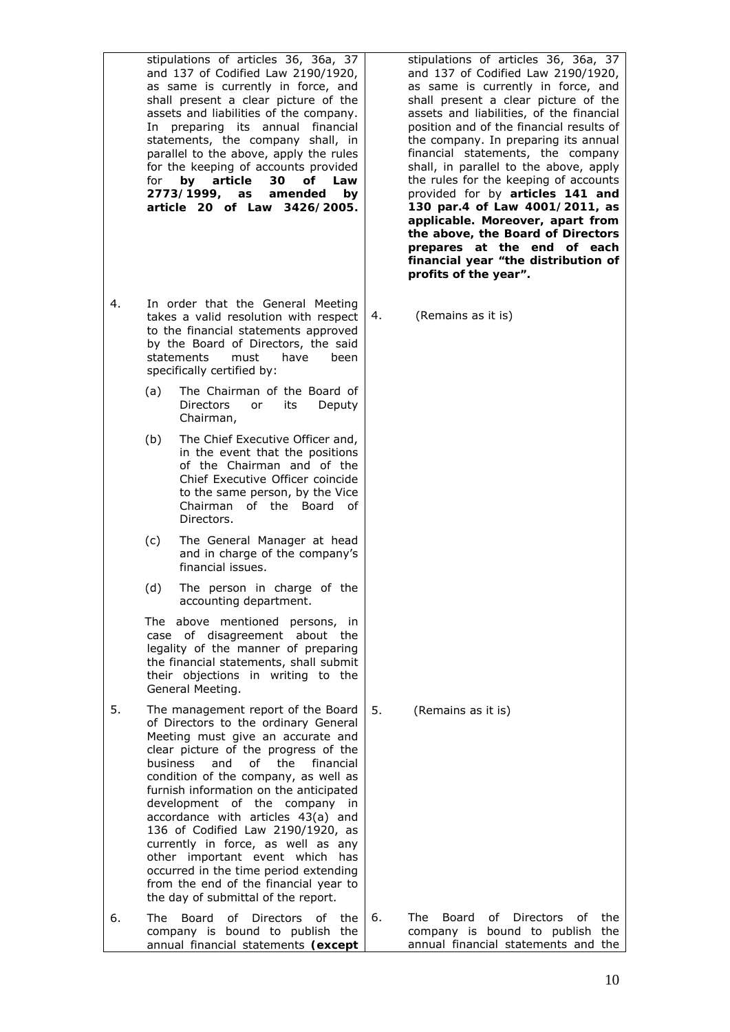stipulations of articles 36, 36a, 37 and 137 of Codified Law 2190/1920, as same is currently in force, and shall present a clear picture of the assets and liabilities of the company. In preparing its annual financial statements, the company shall, in parallel to the above, apply the rules for the keeping of accounts provided for **by article 30 of Law 2773/1999, as amended by article 20 of Law 3426/2005.**  4. In order that the General Meeting takes a valid resolution with respect to the financial statements approved by the Board of Directors, the said statements must have been specifically certified by: (a) The Chairman of the Board of Directors or its Deputy Chairman, (b) The Chief Executive Officer and, in the event that the positions of the Chairman and of the Chief Executive Officer coincide to the same person, by the Vice Chairman of the Board of Directors. (c) The General Manager at head and in charge of the company's financial issues. (d) The person in charge of the accounting department. The above mentioned persons, in case of disagreement about the legality of the manner of preparing the financial statements, shall submit their objections in writing to the General Meeting. 5. The management report of the Board of Directors to the ordinary General Meeting must give an accurate and clear picture of the progress of the business and of the financial condition of the company, as well as furnish information on the anticipated development of the company in accordance with articles 43(a) and

136 of Codified Law 2190/1920, as currently in force, as well as any other important event which has occurred in the time period extending from the end of the financial year to the day of submittal of the report.

6. The Board of Directors of the company is bound to publish the annual financial statements **(except** 

stipulations of articles 36, 36a, 37 and 137 of Codified Law 2190/1920, as same is currently in force, and shall present a clear picture of the assets and liabilities, of the financial position and of the financial results of the company. In preparing its annual financial statements, the company shall, in parallel to the above, apply the rules for the keeping of accounts provided for by **articles 141 and 130 par.4 of Law 4001/2011, as applicable. Moreover, apart from the above, the Board of Directors prepares at the end of each financial year "the distribution of profits of the year".** 

4. (Remains as it is)

5. (Remains as it is)

6. The Board of Directors of the company is bound to publish the annual financial statements and the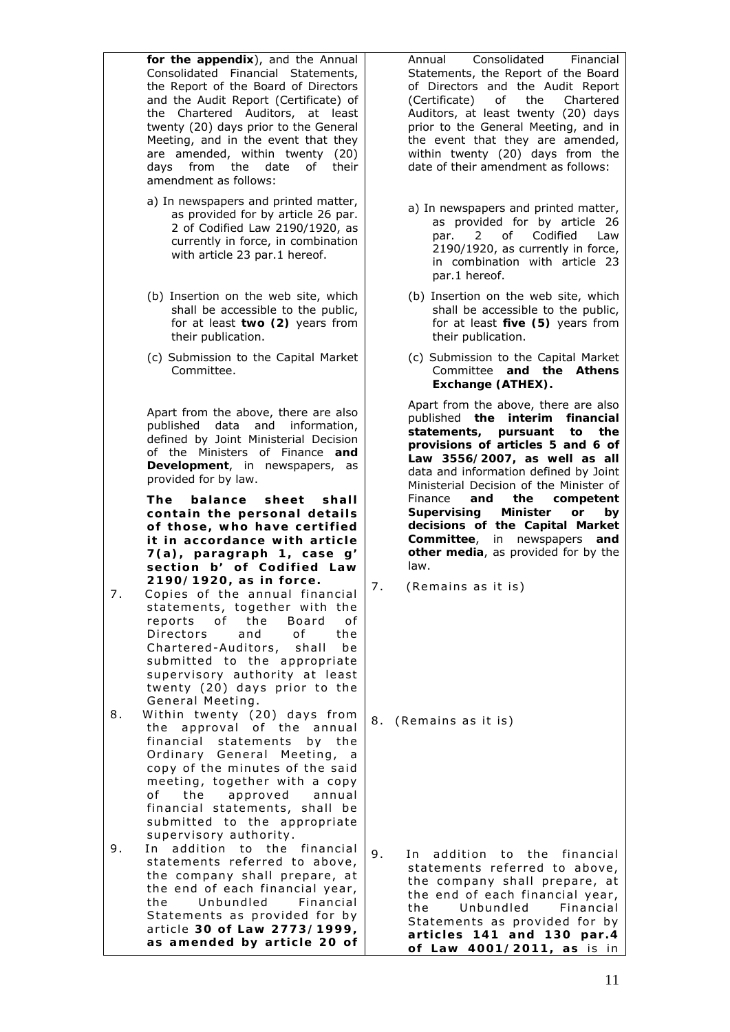**for the appendix**), and the Annual Consolidated Financial Statements, the Report of the Board of Directors and the Audit Report (Certificate) of the Chartered Auditors, at least twenty (20) days prior to the General Meeting, and in the event that they are amended, within twenty (20) days from the date of their amendment as follows:

- a) In newspapers and printed matter, as provided for by article 26 par. 2 of Codified Law 2190/1920, as currently in force, in combination with article 23 par.1 hereof.
- (b) Insertion on the web site, which shall be accessible to the public, for at least **two (2)** years from their publication.
- (c) Submission to the Capital Market Committee.

Apart from the above, there are also published data and information, defined by Joint Ministerial Decision of the Ministers of Finance **and Development**, in newspapers, as provided for by law.

**The balance sheet shall contain the personal details of those, who have certified it in accordance with article 7(a), paragraph 1, case g' section b' of Codified Law 2190/1920, as in force.** 

- 7. Copies of the annual financial statements, together with the reports of the Board of Directors and of the Chartered-Auditors, shall be submitted to the appropriate supervisory authority at least twenty (20) days prior to the General Meeting.
- 8. Within twenty (20) days from the approval of the annual financial statements by the Ordinary General Meeting, a copy of the minutes of the said meeting, together with a copy of the approved annual financial statements, shall be submitted to the appropriate supervisory authority.
- 9. In addition to the financial statements referred to above, the company shall prepare, at the end of each financial year, the Unbundled Financial Statements as provided for by article **30 of Law 2773/1999, as amended by article 20 of**

Annual Consolidated Financial Statements, the Report of the Board of Directors and the Audit Report (Certificate) of the Chartered Auditors, at least twenty (20) days prior to the General Meeting, and in the event that they are amended, within twenty (20) days from the date of their amendment as follows:

- a) In newspapers and printed matter, as provided for by article 26 par. 2 of Codified Law 2190/1920, as currently in force, in combination with article 23 par.1 hereof.
- (b) Insertion on the web site, which shall be accessible to the public, for at least **five (5)** years from their publication.
- (c) Submission to the Capital Market Committee **and the Athens Exchange (ATHEX).**

Apart from the above, there are also published **the interim financial statements, pursuant to the provisions of articles 5 and 6 of Law 3556/2007, as well as all** data and information defined by Joint Ministerial Decision of the Minister of Finance **and the competent Supervising Minister or by decisions of the Capital Market Committee**, in newspapers **and other media**, as provided for by the law.

7. (Remains as it is)

8. (Remains as it is)

9. In addition to the financial statements referred to above, the company shall prepare, at the end of each financial year, the Unbundled Financial Statements as provided for by **articles 141 and 130 par.4 of Law 4001/2011, as** is in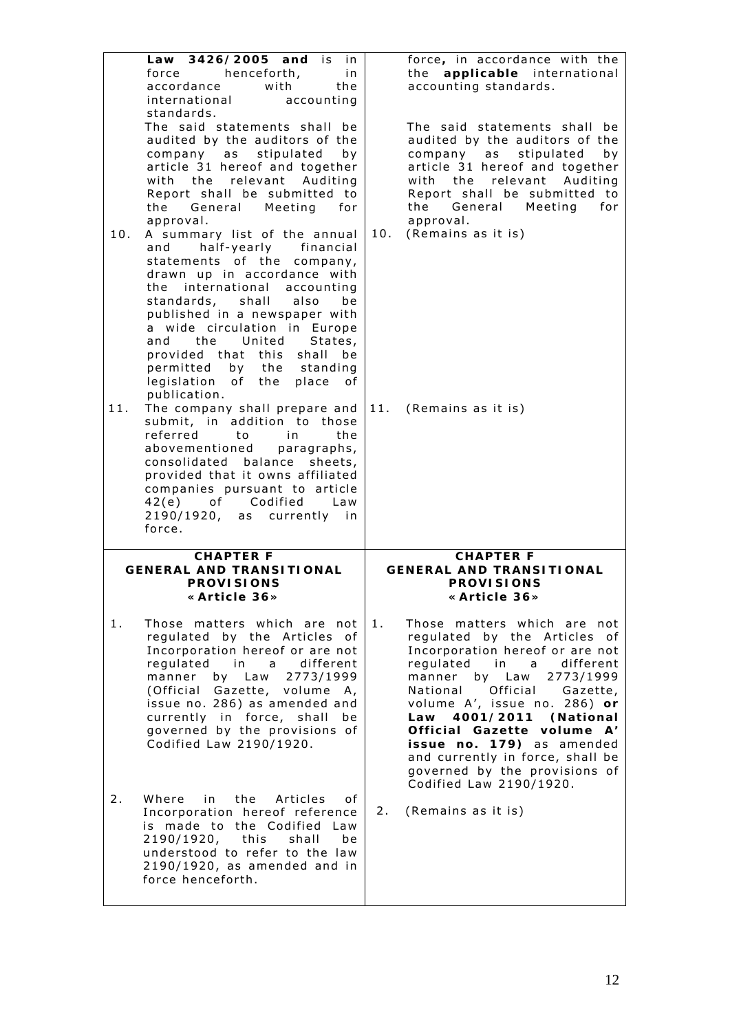| 10. | Law 3426/2005<br>and<br>is<br>i n<br>henceforth,<br>force<br>in.<br>accordance<br>with<br>the<br>international<br>accounting<br>standards.<br>The said statements shall be<br>audited by the auditors of the<br>company as stipulated<br>by<br>article 31 hereof and together<br>with the relevant<br>Auditing<br>Report shall be submitted to<br>the General Meeting<br>for<br>approval.<br>A summary list of the annual<br>half-yearly financial<br>and<br>statements of the<br>company,<br>drawn up in accordance with<br>the international<br>accounting<br>standards, shall<br>also<br>be | force, in accordance with the<br>the applicable international<br>accounting standards.<br>The said statements shall be<br>audited by the auditors of the<br>stipulated<br>company as<br>by<br>article 31 hereof and together<br>the relevant<br>Auditing<br>with<br>Report shall be submitted to<br>the<br>General Meeting<br>for<br>approval.<br>10.<br>(Remains as it is)                                                             |
|-----|------------------------------------------------------------------------------------------------------------------------------------------------------------------------------------------------------------------------------------------------------------------------------------------------------------------------------------------------------------------------------------------------------------------------------------------------------------------------------------------------------------------------------------------------------------------------------------------------|-----------------------------------------------------------------------------------------------------------------------------------------------------------------------------------------------------------------------------------------------------------------------------------------------------------------------------------------------------------------------------------------------------------------------------------------|
| 11. | published in a newspaper with<br>a wide circulation in Europe<br>and the<br>United<br>States,<br>provided that this<br>shall<br>be<br>permitted by the standing<br>legislation<br>of the<br>place<br>οf<br>publication.<br>The company shall prepare and<br>submit, in addition to those<br>referred<br>the<br>to<br>in<br>abovementioned<br>paragraphs,<br>consolidated balance<br>sheets,<br>provided that it owns affiliated<br>companies pursuant to article<br>42(e) of Codified<br>Law<br>2190/1920, as currently in<br>force.                                                           | 11. (Remains as it is)                                                                                                                                                                                                                                                                                                                                                                                                                  |
|     | <b>CHAPTER F</b><br><b>GENERAL AND TRANSITIONAL</b><br><b>PROVISIONS</b><br>«Article 36»                                                                                                                                                                                                                                                                                                                                                                                                                                                                                                       | <b>CHAPTER F</b><br><b>GENERAL AND TRANSITIONAL</b><br><b>PROVISIONS</b><br>«Article 36»                                                                                                                                                                                                                                                                                                                                                |
| 1.  | Those matters which are not<br>regulated by the Articles of<br>Incorporation hereof or are not<br>regulated<br>in<br>different<br>a<br>2773/1999<br>manner<br>by Law<br>(Official Gazette, volume A,<br>issue no. 286) as amended and<br>currently in force, shall<br>be<br>governed by the provisions of<br>Codified Law 2190/1920.                                                                                                                                                                                                                                                           | 1.<br>Those matters which are not<br>regulated by the Articles of<br>Incorporation hereof or are not<br>regulated<br>in<br>different<br>a<br>2773/1999<br>manner<br>by Law<br>Official<br>National<br>Gazette,<br>volume A', issue no. 286) or<br>4001/2011 (National<br>Law<br>Official Gazette volume A'<br>issue no. 179) as amended<br>and currently in force, shall be<br>governed by the provisions of<br>Codified Law 2190/1920. |
| 2.  | Where in<br>the<br>Articles<br>οf<br>Incorporation hereof reference<br>is made to the Codified Law<br>2190/1920, this<br>shall<br>be<br>understood to refer to the law<br>2190/1920, as amended and in<br>force henceforth.                                                                                                                                                                                                                                                                                                                                                                    | (Remains as it is)<br>2.                                                                                                                                                                                                                                                                                                                                                                                                                |